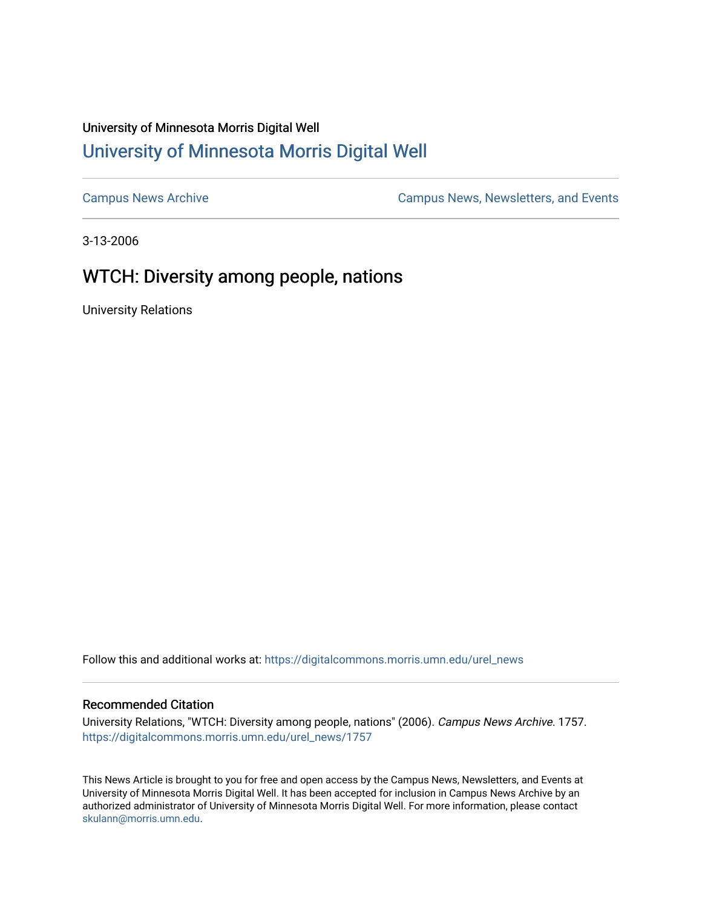## University of Minnesota Morris Digital Well [University of Minnesota Morris Digital Well](https://digitalcommons.morris.umn.edu/)

[Campus News Archive](https://digitalcommons.morris.umn.edu/urel_news) [Campus News, Newsletters, and Events](https://digitalcommons.morris.umn.edu/externalrel) 

3-13-2006

## WTCH: Diversity among people, nations

University Relations

Follow this and additional works at: [https://digitalcommons.morris.umn.edu/urel\\_news](https://digitalcommons.morris.umn.edu/urel_news?utm_source=digitalcommons.morris.umn.edu%2Furel_news%2F1757&utm_medium=PDF&utm_campaign=PDFCoverPages) 

## Recommended Citation

University Relations, "WTCH: Diversity among people, nations" (2006). Campus News Archive. 1757. [https://digitalcommons.morris.umn.edu/urel\\_news/1757](https://digitalcommons.morris.umn.edu/urel_news/1757?utm_source=digitalcommons.morris.umn.edu%2Furel_news%2F1757&utm_medium=PDF&utm_campaign=PDFCoverPages) 

This News Article is brought to you for free and open access by the Campus News, Newsletters, and Events at University of Minnesota Morris Digital Well. It has been accepted for inclusion in Campus News Archive by an authorized administrator of University of Minnesota Morris Digital Well. For more information, please contact [skulann@morris.umn.edu.](mailto:skulann@morris.umn.edu)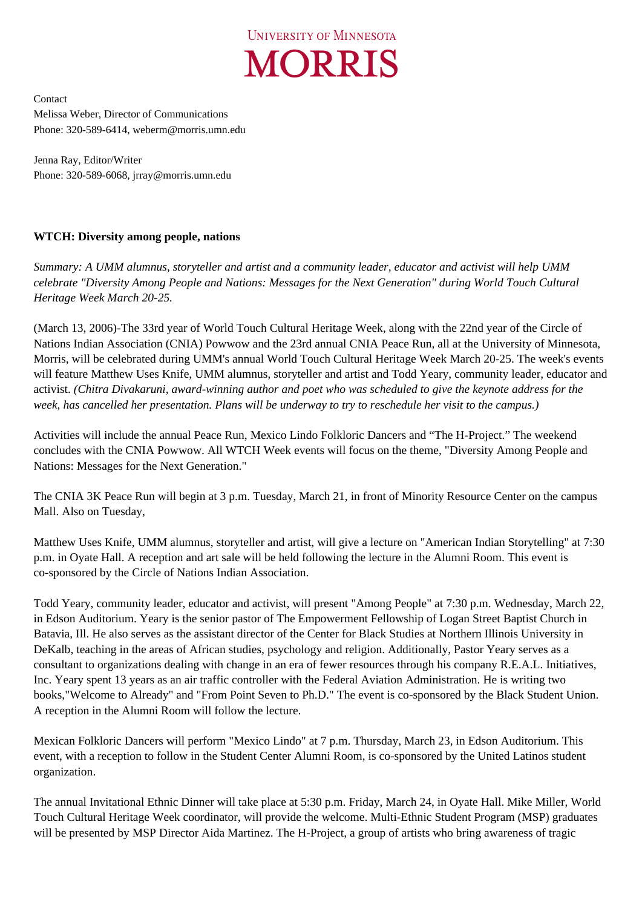

Contact Melissa Weber, Director of Communications Phone: 320-589-6414, weberm@morris.umn.edu

Jenna Ray, Editor/Writer Phone: 320-589-6068, jrray@morris.umn.edu

## **WTCH: Diversity among people, nations**

*Summary: A UMM alumnus, storyteller and artist and a community leader, educator and activist will help UMM celebrate "Diversity Among People and Nations: Messages for the Next Generation" during World Touch Cultural Heritage Week March 20-25.* 

(March 13, 2006)-The 33rd year of World Touch Cultural Heritage Week, along with the 22nd year of the Circle of Nations Indian Association (CNIA) Powwow and the 23rd annual CNIA Peace Run, all at the University of Minnesota, Morris, will be celebrated during UMM's annual World Touch Cultural Heritage Week March 20-25. The week's events will feature Matthew Uses Knife, UMM alumnus, storyteller and artist and Todd Yeary, community leader, educator and activist. *(Chitra Divakaruni, award-winning author and poet who was scheduled to give the keynote address for the week, has cancelled her presentation. Plans will be underway to try to reschedule her visit to the campus.)*

Activities will include the annual Peace Run, Mexico Lindo Folkloric Dancers and "The H-Project." The weekend concludes with the CNIA Powwow. All WTCH Week events will focus on the theme, "Diversity Among People and Nations: Messages for the Next Generation."

The CNIA 3K Peace Run will begin at 3 p.m. Tuesday, March 21, in front of Minority Resource Center on the campus Mall. Also on Tuesday,

Matthew Uses Knife, UMM alumnus, storyteller and artist, will give a lecture on "American Indian Storytelling" at 7:30 p.m. in Oyate Hall. A reception and art sale will be held following the lecture in the Alumni Room. This event is co-sponsored by the Circle of Nations Indian Association.

Todd Yeary, community leader, educator and activist, will present "Among People" at 7:30 p.m. Wednesday, March 22, in Edson Auditorium. Yeary is the senior pastor of The Empowerment Fellowship of Logan Street Baptist Church in Batavia, Ill. He also serves as the assistant director of the Center for Black Studies at Northern Illinois University in DeKalb, teaching in the areas of African studies, psychology and religion. Additionally, Pastor Yeary serves as a consultant to organizations dealing with change in an era of fewer resources through his company R.E.A.L. Initiatives, Inc. Yeary spent 13 years as an air traffic controller with the Federal Aviation Administration. He is writing two books,"Welcome to Already" and "From Point Seven to Ph.D." The event is co-sponsored by the Black Student Union. A reception in the Alumni Room will follow the lecture.

Mexican Folkloric Dancers will perform "Mexico Lindo" at 7 p.m. Thursday, March 23, in Edson Auditorium. This event, with a reception to follow in the Student Center Alumni Room, is co-sponsored by the United Latinos student organization.

The annual Invitational Ethnic Dinner will take place at 5:30 p.m. Friday, March 24, in Oyate Hall. Mike Miller, World Touch Cultural Heritage Week coordinator, will provide the welcome. Multi-Ethnic Student Program (MSP) graduates will be presented by MSP Director Aida Martinez. The H-Project, a group of artists who bring awareness of tragic